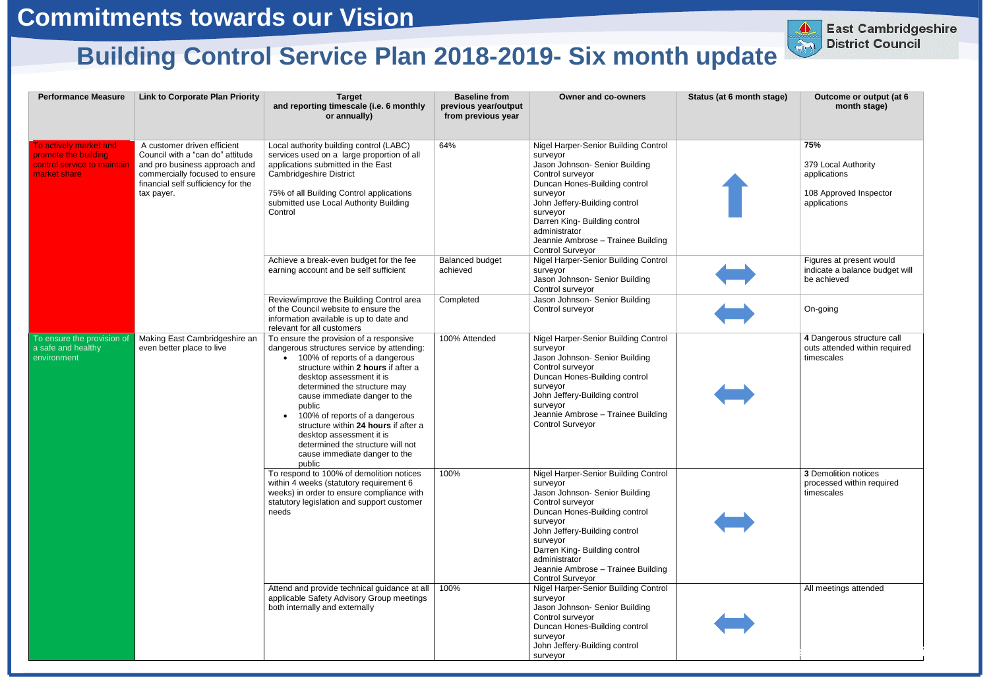| <b>Performance Measure</b>                                                                    | <b>Link to Corporate Plan Priority</b>                                                                                                                                                 | <b>Target</b><br>and reporting timescale (i.e. 6 monthly<br>or annually)                                                                                                                                                                                                                                                                                                                                                                                                   | <b>Baseline from</b><br>previous year/output<br>from previous year | <b>Owner and co-owners</b>                                                                                                                                                                                                                                                                                          | Status (at 6 month stage) | Outcome or output (at 6<br>month stage)                                              |
|-----------------------------------------------------------------------------------------------|----------------------------------------------------------------------------------------------------------------------------------------------------------------------------------------|----------------------------------------------------------------------------------------------------------------------------------------------------------------------------------------------------------------------------------------------------------------------------------------------------------------------------------------------------------------------------------------------------------------------------------------------------------------------------|--------------------------------------------------------------------|---------------------------------------------------------------------------------------------------------------------------------------------------------------------------------------------------------------------------------------------------------------------------------------------------------------------|---------------------------|--------------------------------------------------------------------------------------|
| To actively market and<br>promote the building<br>control service to maintair<br>market share | A customer driven efficient<br>Council with a "can do" attitude<br>and pro business approach and<br>commercially focused to ensure<br>financial self sufficiency for the<br>tax payer. | Local authority building control (LABC)<br>services used on a large proportion of all<br>applications submitted in the East<br><b>Cambridgeshire District</b><br>75% of all Building Control applications<br>submitted use Local Authority Building<br>Control                                                                                                                                                                                                             | 64%                                                                | Nigel Harper-Senior Building Control<br>surveyor<br>Jason Johnson- Senior Building<br>Control surveyor<br>Duncan Hones-Building control<br>surveyor<br>John Jeffery-Building control<br>surveyor<br>Darren King- Building control<br>administrator<br>Jeannie Ambrose - Trainee Building<br><b>Control Surveyor</b> |                           | 75%<br>379 Local Authority<br>applications<br>108 Approved Inspector<br>applications |
|                                                                                               |                                                                                                                                                                                        | Achieve a break-even budget for the fee<br>earning account and be self sufficient                                                                                                                                                                                                                                                                                                                                                                                          | <b>Balanced budget</b><br>achieved                                 | Nigel Harper-Senior Building Control<br>surveyor<br>Jason Johnson- Senior Building<br>Control surveyor                                                                                                                                                                                                              |                           | Figures at present would<br>indicate a balance budget will<br>be achieved            |
|                                                                                               |                                                                                                                                                                                        | Review/improve the Building Control area<br>of the Council website to ensure the<br>information available is up to date and<br>relevant for all customers                                                                                                                                                                                                                                                                                                                  | Completed                                                          | Jason Johnson- Senior Building<br>Control surveyor                                                                                                                                                                                                                                                                  |                           | On-going                                                                             |
| To ensure the provision of<br>a safe and healthy<br>environment                               | Making East Cambridgeshire an<br>even better place to live                                                                                                                             | To ensure the provision of a responsive<br>dangerous structures service by attending:<br>• 100% of reports of a dangerous<br>structure within 2 hours if after a<br>desktop assessment it is<br>determined the structure may<br>cause immediate danger to the<br>public<br>100% of reports of a dangerous<br>$\bullet$<br>structure within 24 hours if after a<br>desktop assessment it is<br>determined the structure will not<br>cause immediate danger to the<br>public | 100% Attended                                                      | Nigel Harper-Senior Building Control<br>surveyor<br>Jason Johnson- Senior Building<br>Control surveyor<br>Duncan Hones-Building control<br>surveyor<br>John Jeffery-Building control<br>surveyor<br>Jeannie Ambrose - Trainee Building<br><b>Control Surveyor</b>                                                   |                           | 4 Dangerous structure call<br>outs attended within required<br>timescales            |
|                                                                                               |                                                                                                                                                                                        | To respond to 100% of demolition notices<br>within 4 weeks (statutory requirement 6<br>weeks) in order to ensure compliance with<br>statutory legislation and support customer<br>needs                                                                                                                                                                                                                                                                                    | 100%                                                               | Nigel Harper-Senior Building Control<br>surveyor<br>Jason Johnson- Senior Building<br>Control surveyor<br>Duncan Hones-Building control<br>surveyor<br>John Jeffery-Building control<br>surveyor<br>Darren King- Building control<br>administrator<br>Jeannie Ambrose - Trainee Building<br><b>Control Surveyor</b> |                           | 3 Demolition notices<br>processed within required<br>timescales                      |
|                                                                                               |                                                                                                                                                                                        | Attend and provide technical guidance at all<br>applicable Safety Advisory Group meetings<br>both internally and externally                                                                                                                                                                                                                                                                                                                                                | 100%                                                               | Nigel Harper-Senior Building Control<br>surveyor<br>Jason Johnson- Senior Building<br>Control surveyor<br>Duncan Hones-Building control<br>surveyor<br>John Jeffery-Building control<br>surveyor                                                                                                                    |                           | All meetings attended                                                                |



## **Building Control Service Plan 2018-2019- Six month update**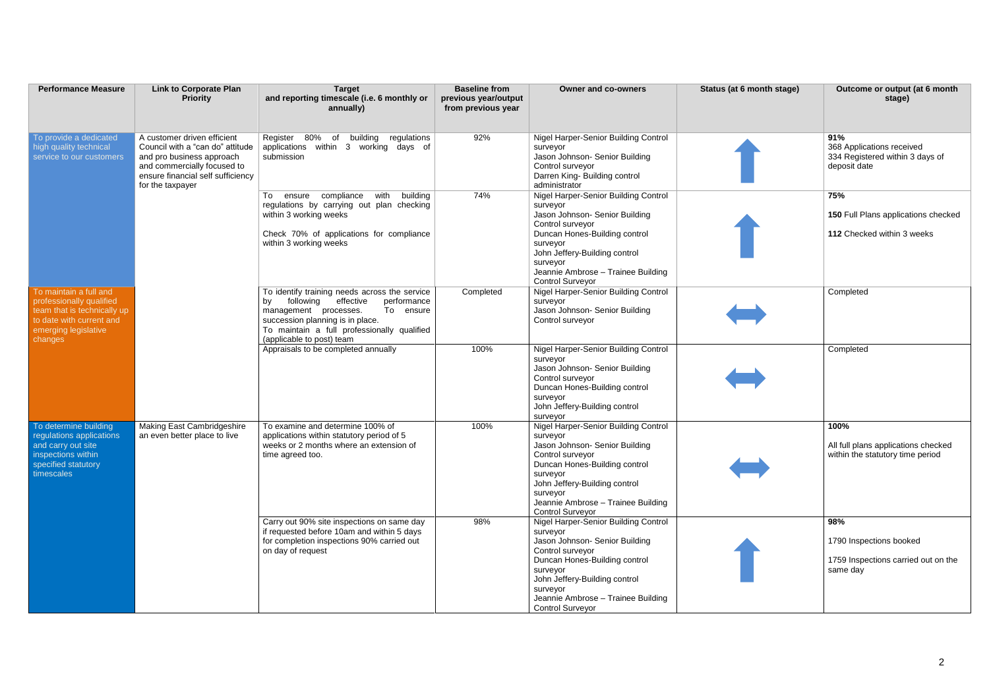| <b>Performance Measure</b>                                                                                                                       | <b>Link to Corporate Plan</b><br><b>Priority</b>                                                                                                                                     | <b>Target</b><br>and reporting timescale (i.e. 6 monthly or<br>annually)                                                                                                                                                                           | <b>Baseline from</b><br>previous year/output<br>from previous year | <b>Owner and co-owners</b>                                                                                                                                                                                                                                               | Status (at 6 month stage) | Outcome or output (at 6 month<br>stage)                                             |
|--------------------------------------------------------------------------------------------------------------------------------------------------|--------------------------------------------------------------------------------------------------------------------------------------------------------------------------------------|----------------------------------------------------------------------------------------------------------------------------------------------------------------------------------------------------------------------------------------------------|--------------------------------------------------------------------|--------------------------------------------------------------------------------------------------------------------------------------------------------------------------------------------------------------------------------------------------------------------------|---------------------------|-------------------------------------------------------------------------------------|
| To provide a dedicated<br>high quality technical<br>service to our customers                                                                     | A customer driven efficient<br>Council with a "can do" attitude<br>and pro business approach<br>and commercially focused to<br>ensure financial self sufficiency<br>for the taxpayer | Register 80% of building regulations<br>applications within 3 working days of<br>submission                                                                                                                                                        | 92%                                                                | Nigel Harper-Senior Building Control<br>surveyor<br>Jason Johnson- Senior Building<br>Control surveyor<br>Darren King- Building control<br>administrator                                                                                                                 |                           | 91%<br>368 Applications received<br>334 Registered within 3 days of<br>deposit date |
|                                                                                                                                                  |                                                                                                                                                                                      | with<br>ensure compliance<br>building<br>To<br>regulations by carrying out plan checking<br>within 3 working weeks<br>Check 70% of applications for compliance<br>within 3 working weeks                                                           | 74%                                                                | Nigel Harper-Senior Building Control<br>surveyor<br>Jason Johnson- Senior Building<br>Control surveyor<br>Duncan Hones-Building control<br>surveyor<br>John Jeffery-Building control<br>surveyor<br>Jeannie Ambrose - Trainee Building<br><b>Control Surveyor</b>        |                           | 75%<br>150 Full Plans applications checked<br>112 Checked within 3 weeks            |
| To maintain a full and<br>professionally qualified<br>team that is technically up<br>to date with current and<br>emerging legislative<br>changes |                                                                                                                                                                                      | To identify training needs across the service<br>following<br>effective<br>performance<br>bv<br>To ensure<br>management processes.<br>succession planning is in place.<br>To maintain a full professionally qualified<br>(applicable to post) team | Completed                                                          | Nigel Harper-Senior Building Control<br>surveyor<br>Jason Johnson- Senior Building<br>Control surveyor                                                                                                                                                                   |                           | Completed                                                                           |
|                                                                                                                                                  |                                                                                                                                                                                      | Appraisals to be completed annually                                                                                                                                                                                                                | 100%                                                               | Nigel Harper-Senior Building Control<br>surveyor<br>Jason Johnson- Senior Building<br>Control surveyor<br>Duncan Hones-Building control<br>surveyor<br>John Jeffery-Building control<br>surveyor                                                                         |                           | Completed                                                                           |
| To determine building<br>regulations applications<br>and carry out site<br>inspections within<br>specified statutory<br>timescales               | <b>Making East Cambridgeshire</b><br>an even better place to live                                                                                                                    | To examine and determine 100% of<br>applications within statutory period of 5<br>weeks or 2 months where an extension of<br>time agreed too.                                                                                                       | 100%                                                               | <b>Nigel Harper-Senior Building Control</b><br>surveyor<br>Jason Johnson- Senior Building<br>Control surveyor<br>Duncan Hones-Building control<br>surveyor<br>John Jeffery-Building control<br>surveyor<br>Jeannie Ambrose - Trainee Building<br><b>Control Surveyor</b> |                           | 100%<br>All full plans applications checked<br>within the statutory time period     |
|                                                                                                                                                  |                                                                                                                                                                                      | Carry out 90% site inspections on same day<br>if requested before 10am and within 5 days<br>for completion inspections 90% carried out<br>on day of request                                                                                        | 98%                                                                | <b>Nigel Harper-Senior Building Control</b><br>surveyor<br>Jason Johnson- Senior Building<br>Control surveyor<br>Duncan Hones-Building control<br>surveyor<br>John Jeffery-Building control<br>surveyor<br>Jeannie Ambrose - Trainee Building<br><b>Control Surveyor</b> |                           | 98%<br>1790 Inspections booked<br>1759 Inspections carried out on the<br>same day   |